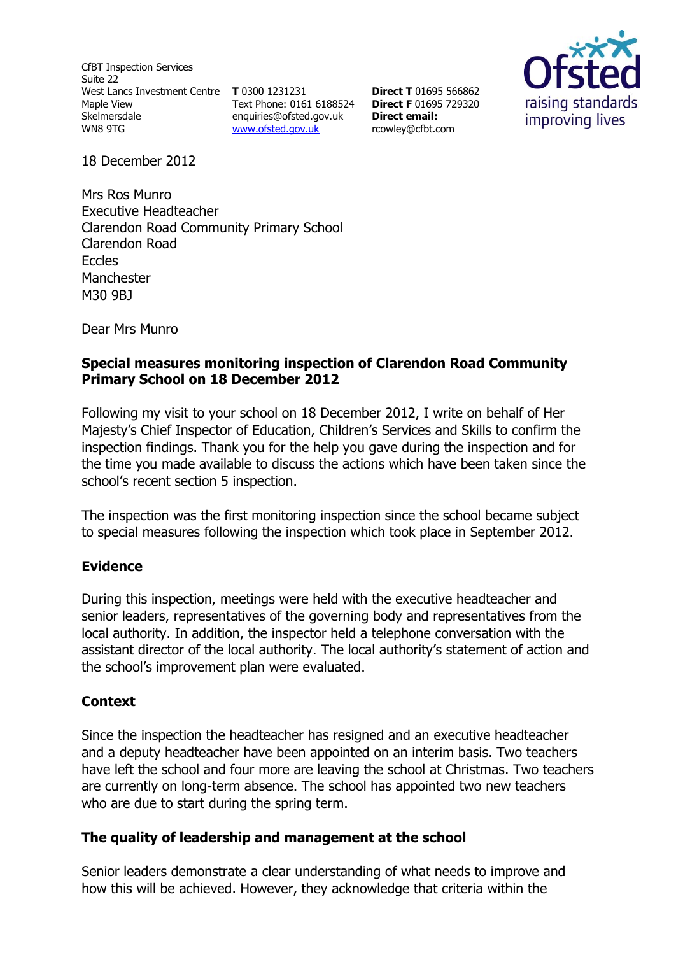CfBT Inspection Services Suite 22 West Lancs Investment Centre **T** 0300 1231231 Maple View Skelmersdale WN8 9TG

Text Phone: 0161 6188524 **Direct F** 01695 729320 [enquiries@ofsted.gov.uk](http://mailto:enquiries@ofsted.gov.uk/) [www.ofsted.gov.uk](http://www.ofsted.gov.uk/)

**Direct T** 01695 566862 **Direct email:**  [rcowley@cfbt.com](file:///C:/Users/rcowley/AppData/Local/Temp/AppData/Local/Microsoft/rcowley/AppData/Local/Temp/notesFCBCEE/rcowley@cfbt.com)



18 December 2012

Mrs Ros Munro Executive Headteacher Clarendon Road Community Primary School Clarendon Road **Eccles Manchester** M30 9BJ

Dear Mrs Munro

## **Special measures monitoring inspection of Clarendon Road Community Primary School on 18 December 2012**

Following my visit to your school on 18 December 2012, I write on behalf of Her Majesty's Chief Inspector of Education, Children's Services and Skills to confirm the inspection findings. Thank you for the help you gave during the inspection and for the time you made available to discuss the actions which have been taken since the school's recent section 5 inspection.

The inspection was the first monitoring inspection since the school became subject to special measures following the inspection which took place in September 2012.

## **Evidence**

During this inspection, meetings were held with the executive headteacher and senior leaders, representatives of the governing body and representatives from the local authority. In addition, the inspector held a telephone conversation with the assistant director of the local authority. The local authority's statement of action and the school's improvement plan were evaluated.

## **Context**

Since the inspection the headteacher has resigned and an executive headteacher and a deputy headteacher have been appointed on an interim basis. Two teachers have left the school and four more are leaving the school at Christmas. Two teachers are currently on long-term absence. The school has appointed two new teachers who are due to start during the spring term.

## **The quality of leadership and management at the school**

Senior leaders demonstrate a clear understanding of what needs to improve and how this will be achieved. However, they acknowledge that criteria within the